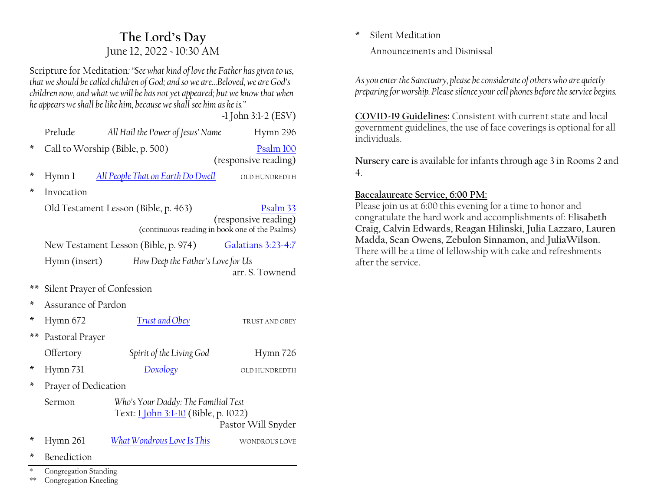# **The Lord's Day** June 12, 2022 ~ 10:30 AM

Scripture for Meditation*:"See what kind of love the Father has given to us, that we should be called children of God; and so we are…Beloved, we are God's children now, and what we will be has not yet appeared; but we know that when he appears we shall be like him, because we shall see him as he is."*

 *~*1 John 3:1-2 (ESV)

|              | Prelude                                                                               | All Hail the Power of Jesus' Name<br>Hymn 296 |                      |  |  |  |
|--------------|---------------------------------------------------------------------------------------|-----------------------------------------------|----------------------|--|--|--|
| ×            | Call to Worship (Bible, p. 500)                                                       | Psalm 100                                     |                      |  |  |  |
|              |                                                                                       |                                               | (responsive reading) |  |  |  |
| ×            | All People That on Earth Do Dwell<br>Hymn 1                                           | OLD HUNDREDTH                                 |                      |  |  |  |
| ×            | Invocation                                                                            |                                               |                      |  |  |  |
|              | Old Testament Lesson (Bible, p. 463)                                                  | Psalm 33                                      |                      |  |  |  |
|              | (responsive reading)<br>(continuous reading in book one of the Psalms)                |                                               |                      |  |  |  |
|              | New Testament Lesson (Bible, p. 974)                                                  | Galatians 3:23-4:7                            |                      |  |  |  |
|              | How Deep the Father's Love for Us<br>Hymn (insert)                                    |                                               |                      |  |  |  |
|              |                                                                                       |                                               | arr. S. Townend      |  |  |  |
| $\star\star$ | Silent Prayer of Confession                                                           |                                               |                      |  |  |  |
| ×            | Assurance of Pardon                                                                   |                                               |                      |  |  |  |
| ×            | Hymn 672                                                                              | <b>Trust and Obey</b>                         | TRUST AND OBEY       |  |  |  |
| $\ast\ast$   | Pastoral Prayer                                                                       |                                               |                      |  |  |  |
|              | Offertory                                                                             | Spirit of the Living God                      | Hymn 726             |  |  |  |
| *            | Hymn 731                                                                              | <b>Doxology</b>                               | OLD HUNDREDTH        |  |  |  |
| *            | Prayer of Dedication                                                                  |                                               |                      |  |  |  |
|              | Who's Your Daddy: The Familial Test<br>Sermon<br>Text: 1 John 3:1-10 (Bible, p. 1022) |                                               |                      |  |  |  |
|              |                                                                                       |                                               | Pastor Will Snyder   |  |  |  |
| ×            | Hymn 261                                                                              | <b>What Wondrous Love Is This</b>             | WONDROUS LOVE        |  |  |  |
| ×            | Benediction                                                                           |                                               |                      |  |  |  |
| $\ast$       | Congregation Standing                                                                 |                                               |                      |  |  |  |

\*\* Congregation Kneeling

\* Silent Meditation

Announcements and Dismissal

*As you enter the Sanctuary, please be considerate of others who are quietly preparing for worship. Please silence your cell phones before the service begins.*

**COVID-19 Guidelines:** Consistent with current state and local government guidelines, the use of face coverings is optional for all individuals.

**Nursery care** is available for infants through age 3 in Rooms 2 and 4.

#### **Baccalaureate Service, 6:00 PM:**

Please join us at 6:00 this evening for a time to honor and congratulate the hard work and accomplishments of: **Elisabeth Craig, Calvin Edwards, Reagan Hilinski, Julia Lazzaro, Lauren Madda, Sean Owens, Zebulon Sinnamon,** and **JuliaWilson.** There will be a time of fellowship with cake and refreshments after the service.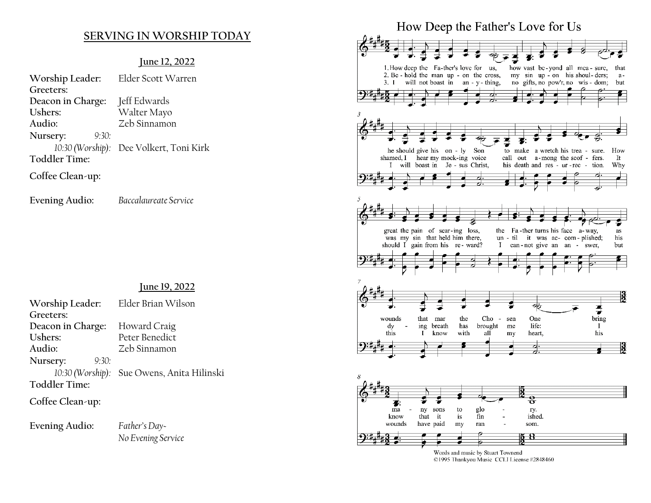#### **SERVING IN WORSHIP TODAY**

#### **June 12, 2022**

| Worship Leader:      | Elder Scott Warren                      |  |  |  |
|----------------------|-----------------------------------------|--|--|--|
| Greeters:            |                                         |  |  |  |
| Deacon in Charge:    | Jeff Edwards                            |  |  |  |
| Ushers:              | Walter Mayo                             |  |  |  |
| Audio:               | Zeb Sinnamon                            |  |  |  |
| Nursery:<br>9:30:    |                                         |  |  |  |
|                      | 10:30 (Worship): Dee Volkert, Toni Kirk |  |  |  |
| <b>Toddler Time:</b> |                                         |  |  |  |
| Coffee Clean-up:     |                                         |  |  |  |

**Evening Audio:** *Baccalaureate Service*

#### **June 19, 2022**

| Worship Leader:   | Elder Brian Wilson                         |
|-------------------|--------------------------------------------|
| Greeters:         |                                            |
| Deacon in Charge: | Howard Craig                               |
| Ushers:           | Peter Benedict                             |
| Audio:            | Zeb Sinnamon                               |
| Nursery:<br>9:30: |                                            |
|                   | 10:30 (Worship): Sue Owens, Anita Hilinski |
| Toddler Time:     |                                            |

#### **Coffee Clean-up:**

**Evening Audio:** *Father's Day~*

*No Evening Service*



Words and music by Stuart Townend ©1995 Thankyou Music CCLI License #2848460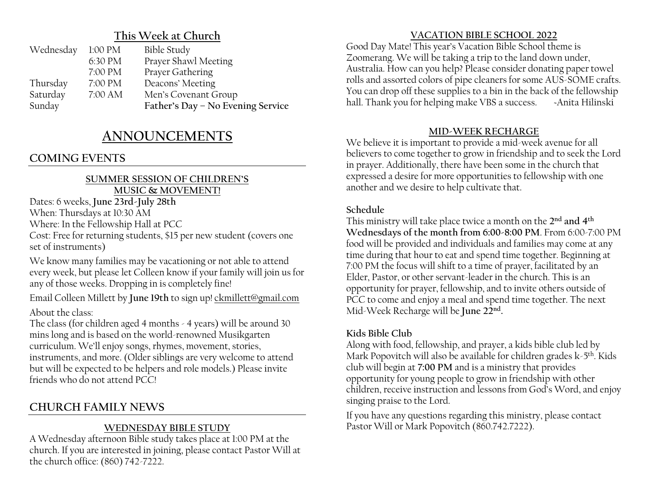### **This Week at Church**

| Wednesday | 1:00 PM | <b>Bible Study</b>                |
|-----------|---------|-----------------------------------|
|           | 6:30 PM | Prayer Shawl Meeting              |
|           | 7:00 PM | Prayer Gathering                  |
| Thursday  | 7:00 PM | Deacons' Meeting                  |
| Saturday  | 7:00 AM | Men's Covenant Group              |
| Sunday    |         | Father's Day - No Evening Service |
|           |         |                                   |

# **ANNOUNCEMENTS**

# **COMING EVENTS**

#### **SUMMER SESSION OF CHILDREN'S MUSIC & MOVEMENT!**

Dates: 6 weeks, **June 23rd-July 28th** When: Thursdays at 10:30 AM Where: In the Fellowship Hall at PCC

Cost: Free for returning students, \$15 per new student (covers one set of instruments)

We know many families may be vacationing or not able to attend every week, but please let Colleen know if your family will join us for any of those weeks. Dropping in is completely fine!

Email Colleen Millett by **June 19th** to sign up! [ckmillett@gmail.com](mailto:ckmillett@gmail.com)

About the class:

The class (for children aged 4 months - 4 years) will be around 30 mins long and is based on the world-renowned Musikgarten curriculum. We'll enjoy songs, rhymes, movement, stories, instruments, and more. (Older siblings are very welcome to attend but will be expected to be helpers and role models.) Please invite friends who do not attend PCC!

# **CHURCH FAMILY NEWS**

# **WEDNESDAY BIBLE STUDY**

A Wednesday afternoon Bible study takes place at 1:00 PM at the church. If you are interested in joining, please contact Pastor Will at the church office: (860) 742-7222.

### **VACATION BIBLE SCHOOL 2022**

Good Day Mate! This year's Vacation Bible School theme is Zoomerang. We will be taking a trip to the land down under, Australia. How can you help? Please consider donating paper towel rolls and assorted colors of pipe cleaners for some AUS-SOME crafts. You can drop off these supplies to a bin in the back of the fellowship hall. Thank you for helping make VBS a success. Anita Hilinski

## **MID-WEEK RECHARGE**

We believe it is important to provide a mid-week avenue for all believers to come together to grow in friendship and to seek the Lord in prayer. Additionally, there have been some in the church that expressed a desire for more opportunities to fellowship with one another and we desire to help cultivate that.

#### **Schedule**

This ministry will take place twice a month on the **2nd and 4th Wednesdays of the month from 6:00-8:00 PM**. From 6:00-7:00 PM food will be provided and individuals and families may come at any time during that hour to eat and spend time together. Beginning at 7:00 PM the focus will shift to a time of prayer, facilitated by an Elder, Pastor, or other servant-leader in the church. This is an opportunity for prayer, fellowship, and to invite others outside of PCC to come and enjoy a meal and spend time together. The next Mid-Week Recharge will be **June 22nd.**

## **Kids Bible Club**

Along with food, fellowship, and prayer, a kids bible club led by Mark Popovitch will also be available for children grades  $k-5$ <sup>th</sup>. Kids club will begin at **7:00 PM** and is a ministry that provides opportunity for young people to grow in friendship with other children, receive instruction and lessons from God's Word, and enjoy singing praise to the Lord.

If you have any questions regarding this ministry, please contact Pastor Will or Mark Popovitch (860.742.7222).